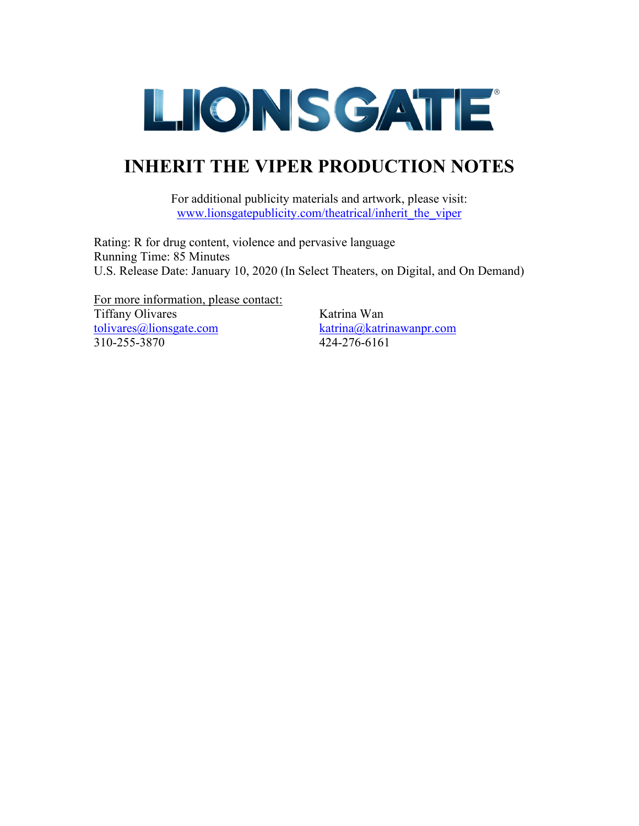

## **INHERIT THE VIPER PRODUCTION NOTES**

For additional publicity materials and artwork, please visit: www.lionsgatepublicity.com/theatrical/inherit\_the\_viper

Rating: R for drug content, violence and pervasive language Running Time: 85 Minutes U.S. Release Date: January 10, 2020 (In Select Theaters, on Digital, and On Demand)

For more information, please contact: Tiffany Olivares **Katrina Wan** [tolivares@lionsgate.com](mailto:tolivares@lionsgate.com) [katrina@katrinawanpr.com](mailto:katrina@katrinawanpr.com) 310-255-3870 424-276-6161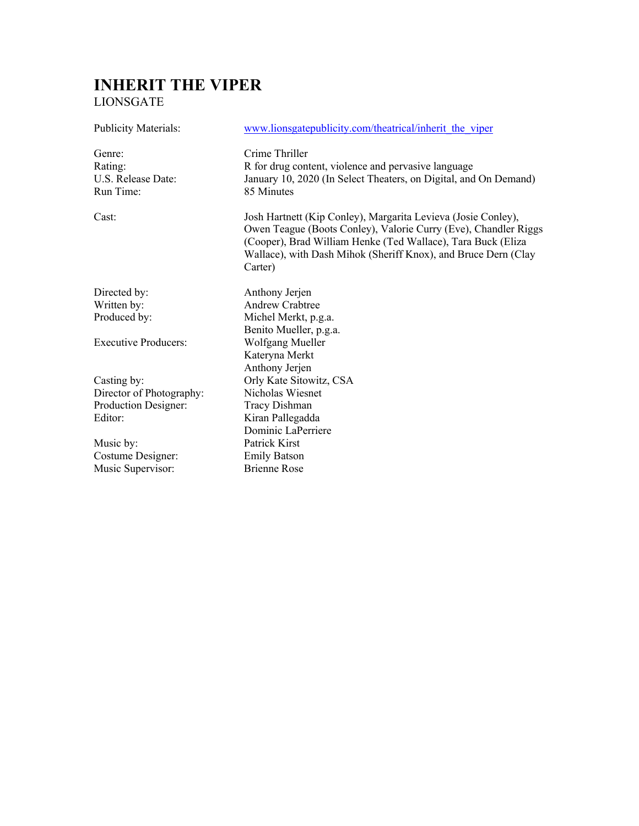## **INHERIT THE VIPER**  LIONSGATE

| <b>Publicity Materials:</b>                          | www.lionsgatepublicity.com/theatrical/inherit the viper                                                                                                                                                                                                                       |
|------------------------------------------------------|-------------------------------------------------------------------------------------------------------------------------------------------------------------------------------------------------------------------------------------------------------------------------------|
| Genre:<br>Rating:<br>U.S. Release Date:<br>Run Time: | Crime Thriller<br>R for drug content, violence and pervasive language<br>January 10, 2020 (In Select Theaters, on Digital, and On Demand)<br>85 Minutes                                                                                                                       |
| Cast:                                                | Josh Hartnett (Kip Conley), Margarita Levieva (Josie Conley),<br>Owen Teague (Boots Conley), Valorie Curry (Eve), Chandler Riggs<br>(Cooper), Brad William Henke (Ted Wallace), Tara Buck (Eliza<br>Wallace), with Dash Mihok (Sheriff Knox), and Bruce Dern (Clay<br>Carter) |
| Directed by:                                         | Anthony Jerjen                                                                                                                                                                                                                                                                |
| Written by:                                          | <b>Andrew Crabtree</b>                                                                                                                                                                                                                                                        |
| Produced by:                                         | Michel Merkt, p.g.a.                                                                                                                                                                                                                                                          |
|                                                      | Benito Mueller, p.g.a.                                                                                                                                                                                                                                                        |
| <b>Executive Producers:</b>                          | Wolfgang Mueller                                                                                                                                                                                                                                                              |
|                                                      | Kateryna Merkt                                                                                                                                                                                                                                                                |
|                                                      | Anthony Jerjen                                                                                                                                                                                                                                                                |
| Casting by:                                          | Orly Kate Sitowitz, CSA                                                                                                                                                                                                                                                       |
| Director of Photography:                             | Nicholas Wiesnet                                                                                                                                                                                                                                                              |
| Production Designer:                                 | Tracy Dishman                                                                                                                                                                                                                                                                 |
| Editor:                                              | Kiran Pallegadda                                                                                                                                                                                                                                                              |
|                                                      | Dominic LaPerriere                                                                                                                                                                                                                                                            |
| Music by:                                            | Patrick Kirst                                                                                                                                                                                                                                                                 |
| Costume Designer:                                    | <b>Emily Batson</b>                                                                                                                                                                                                                                                           |
| Music Supervisor:                                    | <b>Brienne Rose</b>                                                                                                                                                                                                                                                           |
|                                                      |                                                                                                                                                                                                                                                                               |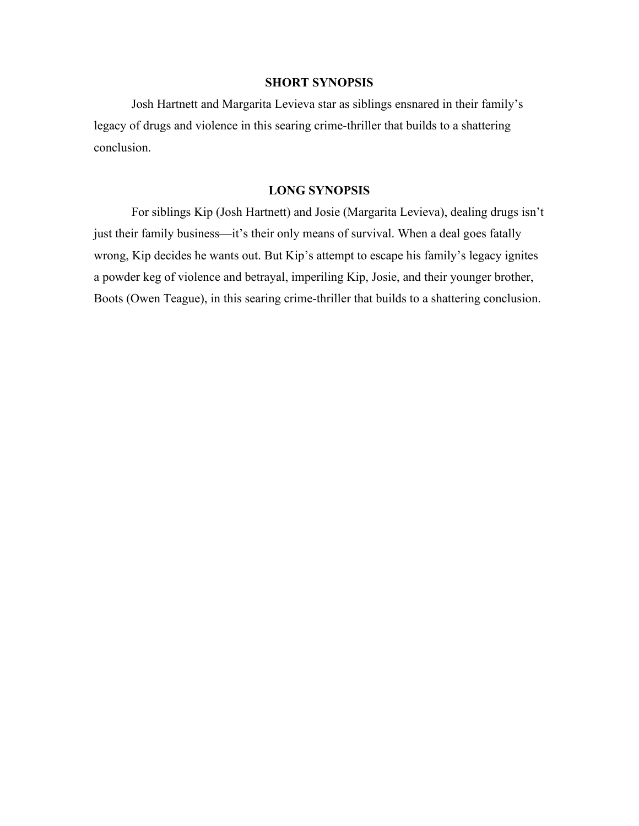#### **SHORT SYNOPSIS**

Josh Hartnett and Margarita Levieva star as siblings ensnared in their family's legacy of drugs and violence in this searing crime-thriller that builds to a shattering conclusion.

#### **LONG SYNOPSIS**

For siblings Kip (Josh Hartnett) and Josie (Margarita Levieva), dealing drugs isn't just their family business—it's their only means of survival. When a deal goes fatally wrong, Kip decides he wants out. But Kip's attempt to escape his family's legacy ignites a powder keg of violence and betrayal, imperiling Kip, Josie, and their younger brother, Boots (Owen Teague), in this searing crime-thriller that builds to a shattering conclusion.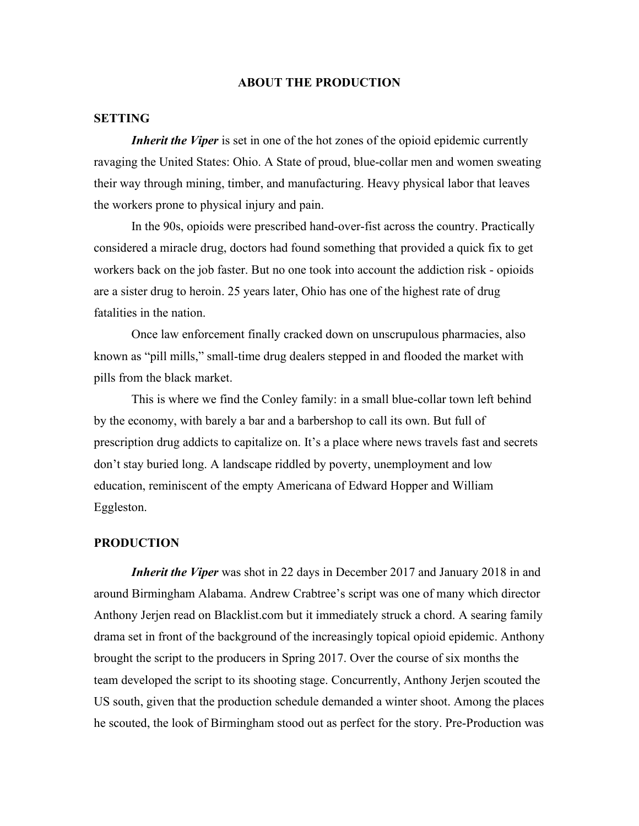#### **ABOUT THE PRODUCTION**

#### **SETTING**

*Inherit the Viper* is set in one of the hot zones of the opioid epidemic currently ravaging the United States: Ohio. A State of proud, blue-collar men and women sweating their way through mining, timber, and manufacturing. Heavy physical labor that leaves the workers prone to physical injury and pain.

In the 90s, opioids were prescribed hand-over-fist across the country. Practically considered a miracle drug, doctors had found something that provided a quick fix to get workers back on the job faster. But no one took into account the addiction risk - opioids are a sister drug to heroin. 25 years later, Ohio has one of the highest rate of drug fatalities in the nation.

Once law enforcement finally cracked down on unscrupulous pharmacies, also known as "pill mills," small-time drug dealers stepped in and flooded the market with pills from the black market.

This is where we find the Conley family: in a small blue-collar town left behind by the economy, with barely a bar and a barbershop to call its own. But full of prescription drug addicts to capitalize on. It's a place where news travels fast and secrets don't stay buried long. A landscape riddled by poverty, unemployment and low education, reminiscent of the empty Americana of Edward Hopper and William Eggleston.

#### **PRODUCTION**

*Inherit the Viper* was shot in 22 days in December 2017 and January 2018 in and around Birmingham Alabama. Andrew Crabtree's script was one of many which director Anthony Jerjen read on Blacklist.com but it immediately struck a chord. A searing family drama set in front of the background of the increasingly topical opioid epidemic. Anthony brought the script to the producers in Spring 2017. Over the course of six months the team developed the script to its shooting stage. Concurrently, Anthony Jerjen scouted the US south, given that the production schedule demanded a winter shoot. Among the places he scouted, the look of Birmingham stood out as perfect for the story. Pre-Production was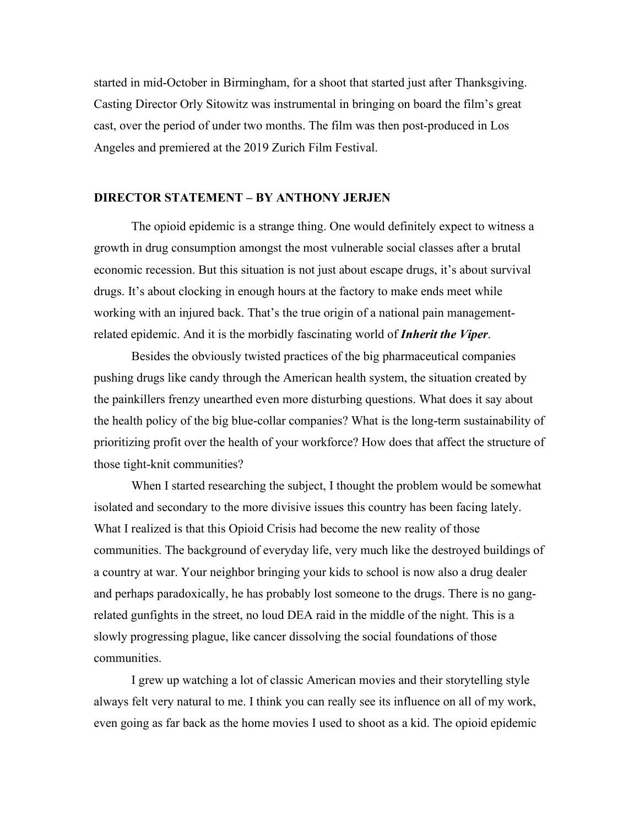started in mid-October in Birmingham, for a shoot that started just after Thanksgiving. Casting Director Orly Sitowitz was instrumental in bringing on board the film's great cast, over the period of under two months. The film was then post-produced in Los Angeles and premiered at the 2019 Zurich Film Festival.

#### **DIRECTOR STATEMENT – BY ANTHONY JERJEN**

The opioid epidemic is a strange thing. One would definitely expect to witness a growth in drug consumption amongst the most vulnerable social classes after a brutal economic recession. But this situation is not just about escape drugs, it's about survival drugs. It's about clocking in enough hours at the factory to make ends meet while working with an injured back. That's the true origin of a national pain managementrelated epidemic. And it is the morbidly fascinating world of *Inherit the Viper*.

Besides the obviously twisted practices of the big pharmaceutical companies pushing drugs like candy through the American health system, the situation created by the painkillers frenzy unearthed even more disturbing questions. What does it say about the health policy of the big blue-collar companies? What is the long-term sustainability of prioritizing profit over the health of your workforce? How does that affect the structure of those tight-knit communities?

When I started researching the subject, I thought the problem would be somewhat isolated and secondary to the more divisive issues this country has been facing lately. What I realized is that this Opioid Crisis had become the new reality of those communities. The background of everyday life, very much like the destroyed buildings of a country at war. Your neighbor bringing your kids to school is now also a drug dealer and perhaps paradoxically, he has probably lost someone to the drugs. There is no gangrelated gunfights in the street, no loud DEA raid in the middle of the night. This is a slowly progressing plague, like cancer dissolving the social foundations of those communities.

I grew up watching a lot of classic American movies and their storytelling style always felt very natural to me. I think you can really see its influence on all of my work, even going as far back as the home movies I used to shoot as a kid. The opioid epidemic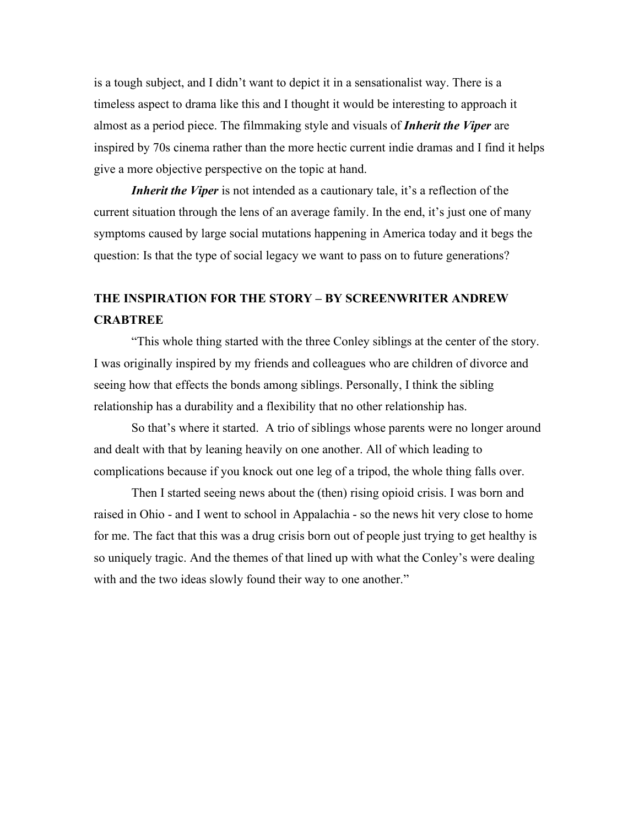is a tough subject, and I didn't want to depict it in a sensationalist way. There is a timeless aspect to drama like this and I thought it would be interesting to approach it almost as a period piece. The filmmaking style and visuals of *Inherit the Viper* are inspired by 70s cinema rather than the more hectic current indie dramas and I find it helps give a more objective perspective on the topic at hand.

*Inherit the Viper* is not intended as a cautionary tale, it's a reflection of the current situation through the lens of an average family. In the end, it's just one of many symptoms caused by large social mutations happening in America today and it begs the question: Is that the type of social legacy we want to pass on to future generations?

## **THE INSPIRATION FOR THE STORY – BY SCREENWRITER ANDREW CRABTREE**

"This whole thing started with the three Conley siblings at the center of the story. I was originally inspired by my friends and colleagues who are children of divorce and seeing how that effects the bonds among siblings. Personally, I think the sibling relationship has a durability and a flexibility that no other relationship has.

So that's where it started. A trio of siblings whose parents were no longer around and dealt with that by leaning heavily on one another. All of which leading to complications because if you knock out one leg of a tripod, the whole thing falls over.

Then I started seeing news about the (then) rising opioid crisis. I was born and raised in Ohio - and I went to school in Appalachia - so the news hit very close to home for me. The fact that this was a drug crisis born out of people just trying to get healthy is so uniquely tragic. And the themes of that lined up with what the Conley's were dealing with and the two ideas slowly found their way to one another."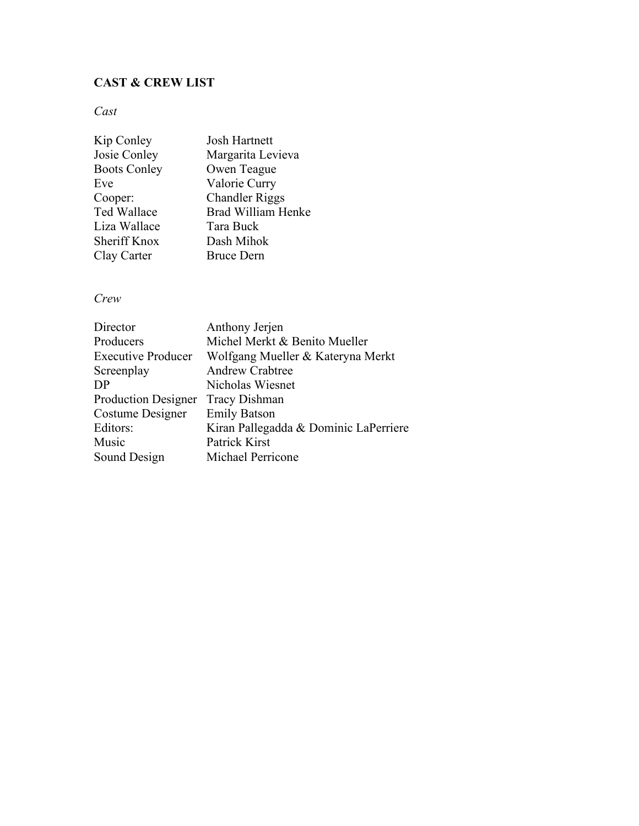#### **CAST & CREW LIST**

*Cast*

| Kip Conley          | <b>Josh Hartnett</b>      |
|---------------------|---------------------------|
| Josie Conley        | Margarita Levieva         |
| <b>Boots Conley</b> | Owen Teague               |
| Eve                 | Valorie Curry             |
| Cooper:             | <b>Chandler Riggs</b>     |
| Ted Wallace         | <b>Brad William Henke</b> |
| Liza Wallace        | Tara Buck                 |
| Sheriff Knox        | Dash Mihok                |
| Clay Carter         | <b>Bruce Dern</b>         |
|                     |                           |

#### *Crew*

| Director                   | Anthony Jerjen                        |
|----------------------------|---------------------------------------|
| Producers                  | Michel Merkt & Benito Mueller         |
| <b>Executive Producer</b>  | Wolfgang Mueller & Kateryna Merkt     |
| Screenplay                 | <b>Andrew Crabtree</b>                |
| DP                         | Nicholas Wiesnet                      |
| <b>Production Designer</b> | <b>Tracy Dishman</b>                  |
| Costume Designer           | <b>Emily Batson</b>                   |
| Editors:                   | Kiran Pallegadda & Dominic LaPerriere |
| Music                      | Patrick Kirst                         |
| Sound Design               | <b>Michael Perricone</b>              |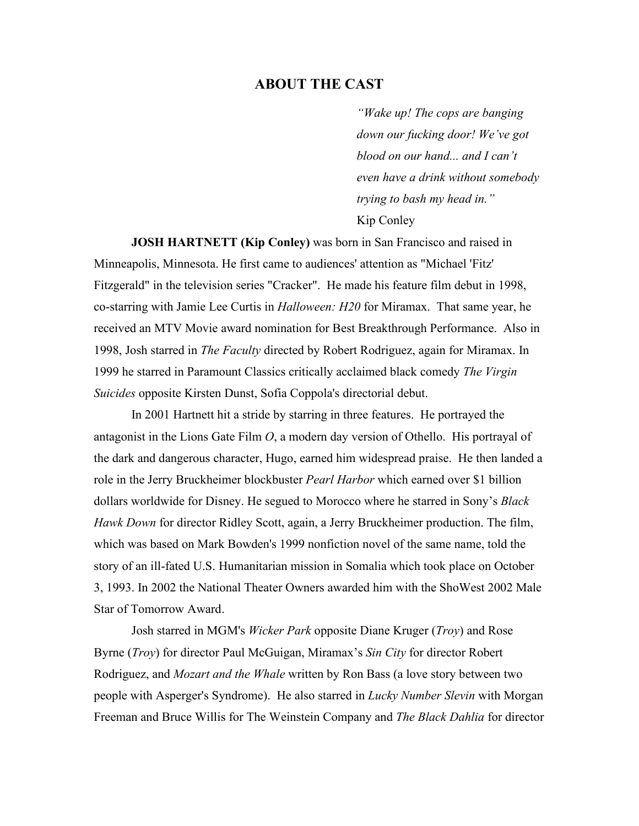#### **ABOUT THE CAST**

*"Wake up! The cops are banging down our fucking door! We've got blood on our hand... and I can't even have a drink without somebody trying to bash my head in."*  Kip Conley

**JOSH HARTNETT (Kip Conley)** was born in San Francisco and raised in Minneapolis, Minnesota. He first came to audiences' attention as "Michael 'Fitz' Fitzgerald" in the television series "Cracker". He made his feature film debut in 1998, co-starring with Jamie Lee Curtis in *Halloween: H20* for Miramax. That same year, he received an MTV Movie award nomination for Best Breakthrough Performance. Also in 1998, Josh starred in *The Faculty* directed by Robert Rodriguez, again for Miramax. In 1999 he starred in Paramount Classics critically acclaimed black comedy *The Virgin Suicides* opposite Kirsten Dunst, Sofia Coppola's directorial debut.

In 2001 Hartnett hit a stride by starring in three features. He portrayed the antagonist in the Lions Gate Film *O*, a modern day version of Othello. His portrayal of the dark and dangerous character, Hugo, earned him widespread praise. He then landed a role in the Jerry Bruckheimer blockbuster *Pearl Harbor* which earned over \$1 billion dollars worldwide for Disney. He segued to Morocco where he starred in Sony's *Black Hawk Down* for director Ridley Scott, again, a Jerry Bruckheimer production. The film, which was based on Mark Bowden's 1999 nonfiction novel of the same name, told the story of an ill-fated U.S. Humanitarian mission in Somalia which took place on October 3, 1993. In 2002 the National Theater Owners awarded him with the ShoWest 2002 Male Star of Tomorrow Award.

Josh starred in MGM's *Wicker Park* opposite Diane Kruger (*Troy*) and Rose Byrne (*Troy*) for director Paul McGuigan, Miramax's *Sin City* for director Robert Rodriguez, and *Mozart and the Whale* written by Ron Bass (a love story between two people with Asperger's Syndrome). He also starred in *Lucky Number Slevin* with Morgan Freeman and Bruce Willis for The Weinstein Company and *The Black Dahlia* for director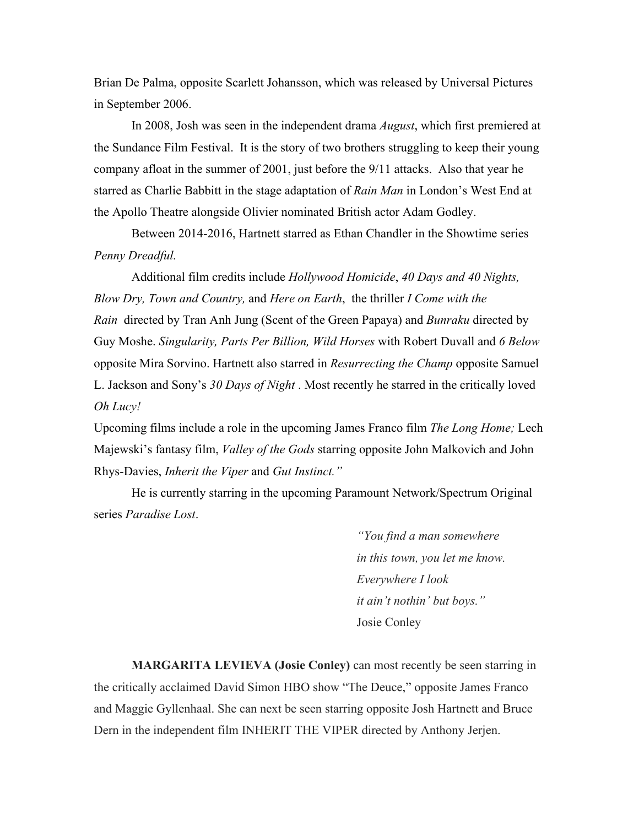Brian De Palma, opposite Scarlett Johansson, which was released by Universal Pictures in September 2006.

In 2008, Josh was seen in the independent drama *August*, which first premiered at the Sundance Film Festival. It is the story of two brothers struggling to keep their young company afloat in the summer of 2001, just before the 9/11 attacks. Also that year he starred as Charlie Babbitt in the stage adaptation of *Rain Man* in London's West End at the Apollo Theatre alongside Olivier nominated British actor Adam Godley.

Between 2014-2016, Hartnett starred as Ethan Chandler in the Showtime series *Penny Dreadful.*

Additional film credits include *Hollywood Homicide*, *40 Days and 40 Nights, Blow Dry, Town and Country,* and *Here on Earth*, the thriller *I Come with the Rain* directed by Tran Anh Jung (Scent of the Green Papaya) and *Bunraku* directed by Guy Moshe. *Singularity, Parts Per Billion, Wild Horses* with Robert Duvall and *6 Below*  opposite Mira Sorvino. Hartnett also starred in *Resurrecting the Champ* opposite Samuel L. Jackson and Sony's *30 Days of Night* . Most recently he starred in the critically loved *Oh Lucy!*

Upcoming films include a role in the upcoming James Franco film *The Long Home;* Lech Majewski's fantasy film, *Valley of the Gods* starring opposite John Malkovich and John Rhys-Davies, *Inherit the Viper* and *Gut Instinct."*

He is currently starring in the upcoming Paramount Network/Spectrum Original series *Paradise Lost*.

> *"You find a man somewhere in this town, you let me know. Everywhere I look it ain't nothin' but boys."*  Josie Conley

**MARGARITA LEVIEVA (Josie Conley)** can most recently be seen starring in the critically acclaimed David Simon HBO show "The Deuce," opposite James Franco and Maggie Gyllenhaal. She can next be seen starring opposite Josh Hartnett and Bruce Dern in the independent film INHERIT THE VIPER directed by Anthony Jerjen.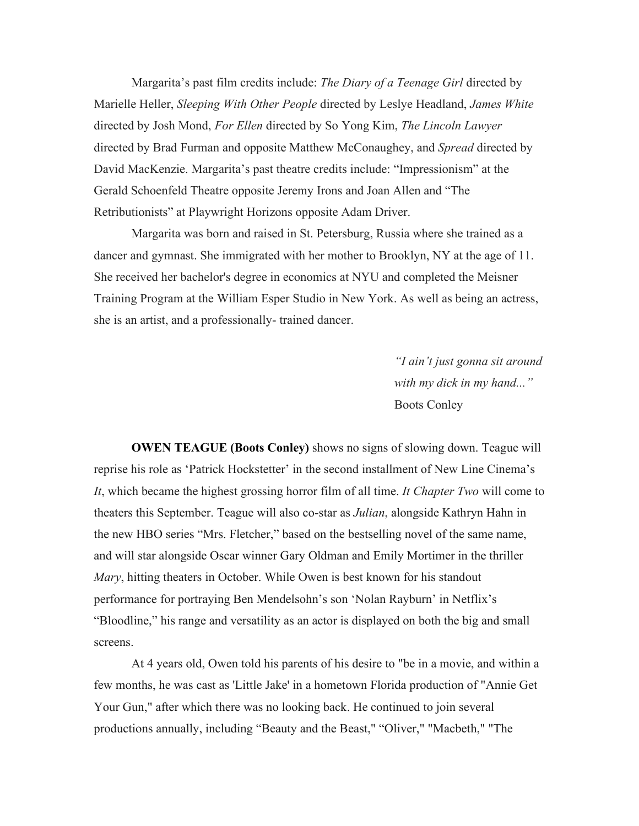Margarita's past film credits include: *The Diary of a Teenage Girl* directed by Marielle Heller, *Sleeping With Other People* directed by Leslye Headland, *James White*  directed by Josh Mond, *For Ellen* directed by So Yong Kim, *The Lincoln Lawyer*  directed by Brad Furman and opposite Matthew McConaughey, and *Spread* directed by David MacKenzie. Margarita's past theatre credits include: "Impressionism" at the Gerald Schoenfeld Theatre opposite Jeremy Irons and Joan Allen and "The Retributionists" at Playwright Horizons opposite Adam Driver.

Margarita was born and raised in St. Petersburg, Russia where she trained as a dancer and gymnast. She immigrated with her mother to Brooklyn, NY at the age of 11. She received her bachelor's degree in economics at NYU and completed the Meisner Training Program at the William Esper Studio in New York. As well as being an actress, she is an artist, and a professionally- trained dancer.

> *"I ain't just gonna sit around with my dick in my hand..."* Boots Conley

**OWEN TEAGUE (Boots Conley)** shows no signs of slowing down. Teague will reprise his role as 'Patrick Hockstetter' in the second installment of New Line Cinema's *It*, which became the highest grossing horror film of all time. *It Chapter Two* will come to theaters this September. Teague will also co-star as *Julian*, alongside Kathryn Hahn in the new HBO series "Mrs. Fletcher," based on the bestselling novel of the same name, and will star alongside Oscar winner Gary Oldman and Emily Mortimer in the thriller *Mary*, hitting theaters in October. While Owen is best known for his standout performance for portraying Ben Mendelsohn's son 'Nolan Rayburn' in Netflix's "Bloodline," his range and versatility as an actor is displayed on both the big and small screens.

At 4 years old, Owen told his parents of his desire to "be in a movie, and within a few months, he was cast as 'Little Jake' in a hometown Florida production of "Annie Get Your Gun," after which there was no looking back. He continued to join several productions annually, including "Beauty and the Beast," "Oliver," "Macbeth," "The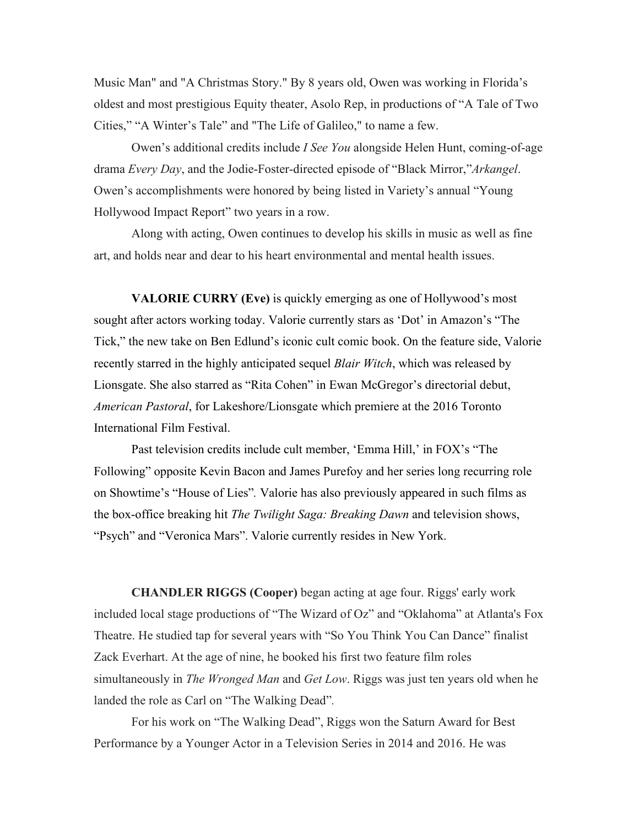Music Man" and "A Christmas Story." By 8 years old, Owen was working in Florida's oldest and most prestigious Equity theater, Asolo Rep, in productions of "A Tale of Two Cities," "A Winter's Tale" and "The Life of Galileo," to name a few.

Owen's additional credits include *I See You* alongside Helen Hunt, coming-of-age drama *Every Day*, and the Jodie-Foster-directed episode of "Black Mirror,"*Arkangel*. Owen's accomplishments were honored by being listed in Variety's annual "Young Hollywood Impact Report" two years in a row.

Along with acting, Owen continues to develop his skills in music as well as fine art, and holds near and dear to his heart environmental and mental health issues.

**VALORIE CURRY (Eve)** is quickly emerging as one of Hollywood's most sought after actors working today. Valorie currently stars as 'Dot' in Amazon's "The Tick," the new take on Ben Edlund's iconic cult comic book. On the feature side, Valorie recently starred in the highly anticipated sequel *Blair Witch*, which was released by Lionsgate. She also starred as "Rita Cohen" in Ewan McGregor's directorial debut, *American Pastoral*, for Lakeshore/Lionsgate which premiere at the 2016 Toronto International Film Festival.

Past television credits include cult member, 'Emma Hill,' in FOX's "The Following" opposite Kevin Bacon and James Purefoy and her series long recurring role on Showtime's "House of Lies"*.* Valorie has also previously appeared in such films as the box-office breaking hit *The Twilight Saga: Breaking Dawn* and television shows, "Psych" and "Veronica Mars". Valorie currently resides in New York.

**CHANDLER RIGGS (Cooper)** began acting at age four. Riggs' early work included local stage productions of "The Wizard of Oz" and "Oklahoma" at Atlanta's Fox Theatre. He studied tap for several years with "So You Think You Can Dance" finalist Zack Everhart. At the age of nine, he booked his first two feature film roles simultaneously in *The Wronged Man* and *Get Low*. Riggs was just ten years old when he landed the role as Carl on "The Walking Dead"*.* 

For his work on "The Walking Dead", Riggs won the Saturn Award for Best Performance by a Younger Actor in a Television Series in 2014 and 2016. He was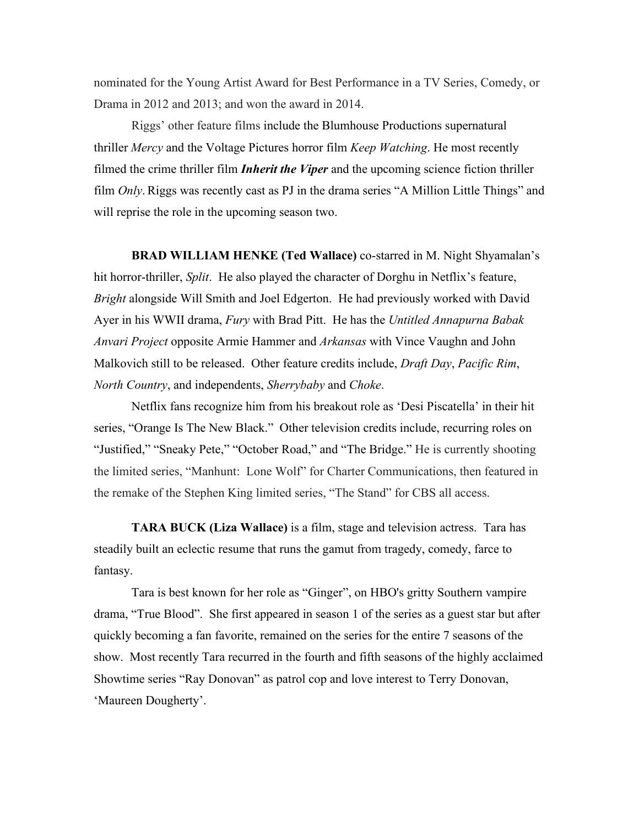nominated for the Young Artist Award for Best Performance in a TV Series, Comedy, or Drama in 2012 and 2013; and won the award in 2014.

Riggs' other feature films include the [Blumhouse Productions](https://en.wikipedia.org/wiki/Blumhouse_Productions) supernatural thriller *[Mercy](https://en.wikipedia.org/wiki/Mercy_(2014_film))* and the [Voltage Pictures](https://en.wikipedia.org/wiki/Voltage_Pictures) horror film *[Keep Watching](https://en.wikipedia.org/wiki/Keep_Watching)*. He most recently filmed the [crime thriller](https://en.wikipedia.org/wiki/Crime_thriller) film *[Inherit the Viper](https://en.wikipedia.org/wiki/Inherit_the_Viper)* and the upcoming [science fiction](https://en.wikipedia.org/wiki/Science_fiction) thriller film *Only*. Riggs was recently cast as PJ in the drama series ["A Million Little Things"](https://en.wikipedia.org/wiki/A_Million_Little_Things) and will reprise the role in the upcoming season two.

**BRAD WILLIAM HENKE (Ted Wallace)** co-starred in M. Night Shyamalan's hit horror-thriller, *Split*. He also played the character of Dorghu in Netflix's feature, *Bright* alongside Will Smith and Joel Edgerton. He had previously worked with David Ayer in his WWII drama, *Fury* with Brad Pitt. He has the *Untitled Annapurna Babak Anvari Project* opposite Armie Hammer and *Arkansas* with Vince Vaughn and John Malkovich still to be released. Other feature credits include, *Draft Day*, *Pacific Rim*, *North Country*, and independents, *Sherrybaby* and *Choke*.

Netflix fans recognize him from his breakout role as 'Desi Piscatella' in their hit series, "Orange Is The New Black." Other television credits include, recurring roles on "Justified," "Sneaky Pete," "October Road," and "The Bridge." He is currently shooting the limited series, "Manhunt: Lone Wolf" for Charter Communications, then featured in the remake of the Stephen King limited series, "The Stand" for CBS all access.

**TARA BUCK (Liza Wallace)** is a film, stage and television actress. Tara has steadily built an eclectic resume that runs the gamut from tragedy, comedy, farce to fantasy.

Tara is best known for her role as "Ginger", on HBO's gritty Southern vampire drama, "True Blood". She first appeared in season 1 of the series as a guest star but after quickly becoming a fan favorite, remained on the series for the entire 7 seasons of the show. Most recently Tara recurred in the fourth and fifth seasons of the highly acclaimed Showtime series "Ray Donovan" as patrol cop and love interest to Terry Donovan, 'Maureen Dougherty'.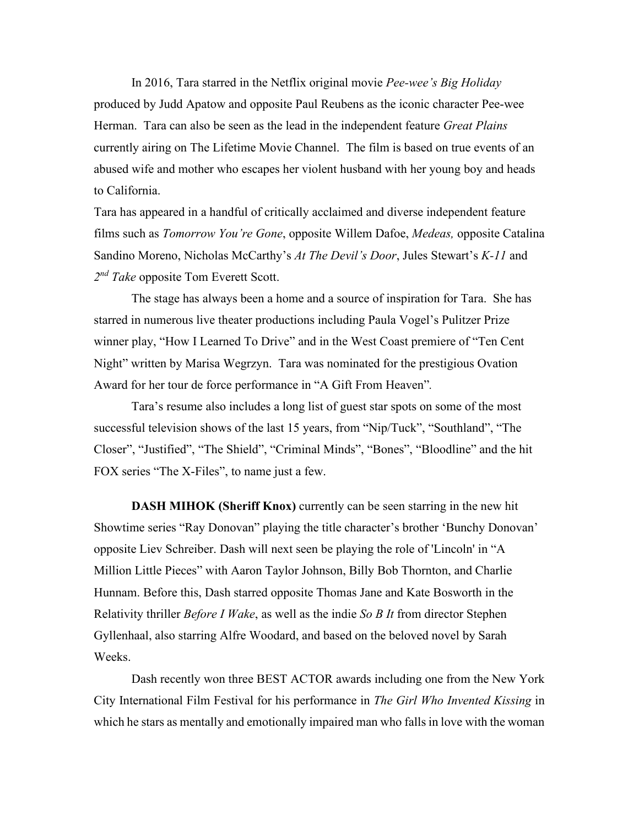In 2016, Tara starred in the Netflix original movie *Pee-wee's Big Holiday* produced by Judd Apatow and opposite Paul Reubens as the iconic character Pee-wee Herman. Tara can also be seen as the lead in the independent feature *Great Plains* currently airing on The Lifetime Movie Channel. The film is based on true events of an abused wife and mother who escapes her violent husband with her young boy and heads to California.

Tara has appeared in a handful of critically acclaimed and diverse independent feature films such as *Tomorrow You're Gone*, opposite Willem Dafoe, *Medeas,* opposite Catalina Sandino Moreno, Nicholas McCarthy's *At The Devil's Door*, Jules Stewart's *K-11* and *2nd Take* opposite Tom Everett Scott.

The stage has always been a home and a source of inspiration for Tara. She has starred in numerous live theater productions including Paula Vogel's Pulitzer Prize winner play, "How I Learned To Drive" and in the West Coast premiere of "Ten Cent Night" written by Marisa Wegrzyn. Tara was nominated for the prestigious Ovation Award for her tour de force performance in "A Gift From Heaven"*.*

Tara's resume also includes a long list of guest star spots on some of the most successful television shows of the last 15 years, from "Nip/Tuck", "Southland", "The Closer", "Justified", "The Shield", "Criminal Minds", "Bones", "Bloodline" and the hit FOX series "The X-Files", to name just a few.

**DASH MIHOK (Sheriff Knox)** currently can be seen starring in the new hit Showtime series "Ray Donovan" playing the title character's brother 'Bunchy Donovan' opposite Liev Schreiber. Dash will next seen be playing the role of 'Lincoln' in "A Million Little Pieces" with Aaron Taylor Johnson, Billy Bob Thornton, and Charlie Hunnam. Before this, Dash starred opposite Thomas Jane and Kate Bosworth in the Relativity thriller *Before I Wake*, as well as the indie *So B It* from director Stephen Gyllenhaal, also starring Alfre Woodard, and based on the beloved novel by Sarah Weeks.

Dash recently won three BEST ACTOR awards including one from the New York City International Film Festival for his performance in *The Girl Who Invented Kissing* in which he stars as mentally and emotionally impaired man who falls in love with the woman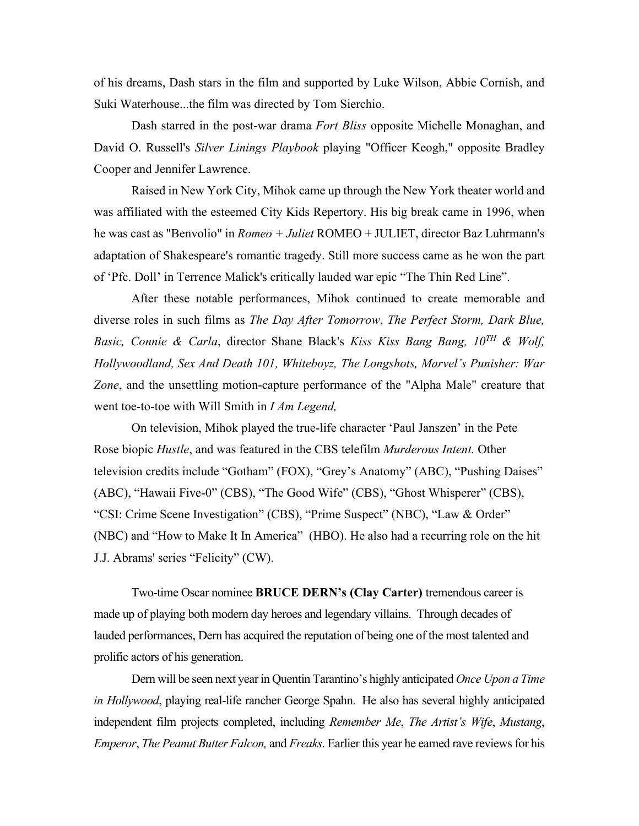of his dreams, Dash stars in the film and supported by Luke Wilson, Abbie Cornish, and Suki Waterhouse...the film was directed by Tom Sierchio.

Dash starred in the post-war drama *Fort Bliss* opposite Michelle Monaghan, and David O. Russell's *Silver Linings Playbook* playing "Officer Keogh," opposite Bradley Cooper and Jennifer Lawrence.

Raised in New York City, Mihok came up through the New York theater world and was affiliated with the esteemed City Kids Repertory. His big break came in 1996, when he was cast as "Benvolio" in *Romeo + Juliet* ROMEO + JULIET, director Baz Luhrmann's adaptation of Shakespeare's romantic tragedy. Still more success came as he won the part of 'Pfc. Doll' in Terrence Malick's critically lauded war epic "The Thin Red Line".

After these notable performances, Mihok continued to create memorable and diverse roles in such films as *The Day After Tomorrow*, *The Perfect Storm, Dark Blue, Basic, Connie & Carla*, director Shane Black's *Kiss Kiss Bang Bang, 10TH & Wolf, Hollywoodland, Sex And Death 101, Whiteboyz, The Longshots, Marvel's Punisher: War Zone*, and the unsettling motion-capture performance of the "Alpha Male" creature that went toe-to-toe with Will Smith in *I Am Legend,*

On television, Mihok played the true-life character 'Paul Janszen' in the Pete Rose biopic *Hustle*, and was featured in the CBS telefilm *Murderous Intent.* Other television credits include "Gotham" (FOX), "Grey's Anatomy" (ABC), "Pushing Daises" (ABC), "Hawaii Five-0" (CBS), "The Good Wife" (CBS), "Ghost Whisperer" (CBS), "CSI: Crime Scene Investigation" (CBS), "Prime Suspect" (NBC), "Law & Order" (NBC) and "How to Make It In America" (HBO). He also had a recurring role on the hit J.J. Abrams' series "Felicity" (CW).

Two-time Oscar nominee **BRUCE DERN's (Clay Carter)** tremendous career is made up of playing both modern day heroes and legendary villains. Through decades of lauded performances, Dern has acquired the reputation of being one of the most talented and prolific actors of his generation.

Dern will be seen next year in Quentin Tarantino's highly anticipated *Once Upon a Time in Hollywood*, playing real-life rancher George Spahn. He also has several highly anticipated independent film projects completed, including *Remember Me*, *The Artist's Wife*, *Mustang*, *Emperor*, *The Peanut Butter Falcon,* and *Freaks*. Earlier this year he earned rave reviews for his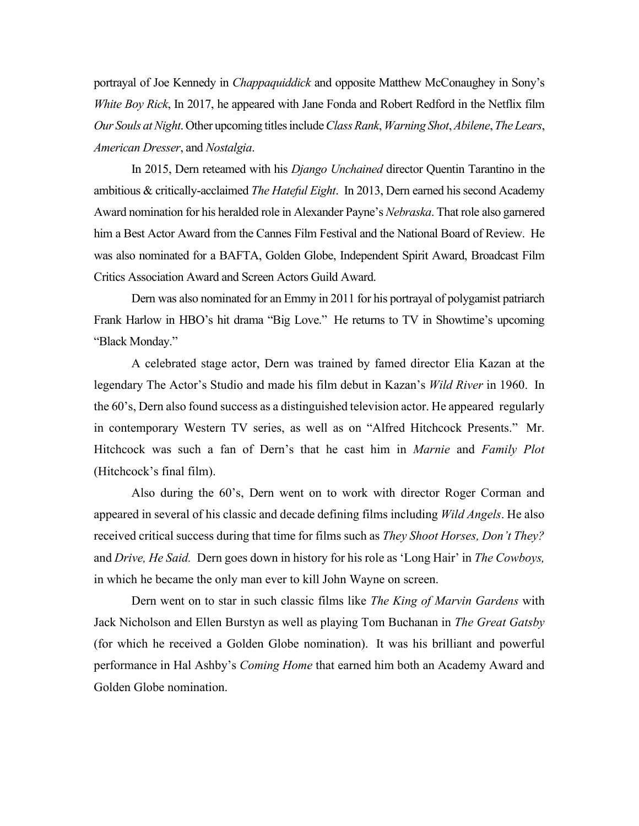portrayal of Joe Kennedy in *Chappaquiddick* and opposite Matthew McConaughey in Sony's *White Boy Rick*, In 2017, he appeared with Jane Fonda and Robert Redford in the Netflix film *Our Souls at Night*. Other upcoming titles include *Class Rank*, *Warning Shot*, *Abilene*, *The Lears*, *American Dresser*, and *Nostalgia*.

In 2015, Dern reteamed with his *Django Unchained* director Quentin Tarantino in the ambitious & critically-acclaimed *The Hateful Eight*. In 2013, Dern earned his second Academy Award nomination for his heralded role in Alexander Payne's *Nebraska*. That role also garnered him a Best Actor Award from the Cannes Film Festival and the National Board of Review. He was also nominated for a BAFTA, Golden Globe, Independent Spirit Award, Broadcast Film Critics Association Award and Screen Actors Guild Award.

Dern was also nominated for an Emmy in 2011 for his portrayal of polygamist patriarch Frank Harlow in HBO's hit drama "Big Love." He returns to TV in Showtime's upcoming "Black Monday."

A celebrated stage actor, Dern was trained by famed director Elia Kazan at the legendary The Actor's Studio and made his film debut in Kazan's *Wild River* in 1960. In the 60's, Dern also found success as a distinguished television actor. He appeared regularly in contemporary Western TV series, as well as on "Alfred Hitchcock Presents." Mr. Hitchcock was such a fan of Dern's that he cast him in *Marnie* and *Family Plot* (Hitchcock's final film).

Also during the 60's, Dern went on to work with director Roger Corman and appeared in several of his classic and decade defining films including *Wild Angels*. He also received critical success during that time for films such as *They Shoot Horses, Don't They?* and *Drive, He Said.* Dern goes down in history for his role as 'Long Hair' in *The Cowboys,* in which he became the only man ever to kill John Wayne on screen.

Dern went on to star in such classic films like *The King of Marvin Gardens* with Jack Nicholson and Ellen Burstyn as well as playing Tom Buchanan in *The Great Gatsby* (for which he received a Golden Globe nomination). It was his brilliant and powerful performance in Hal Ashby's *Coming Home* that earned him both an Academy Award and Golden Globe nomination.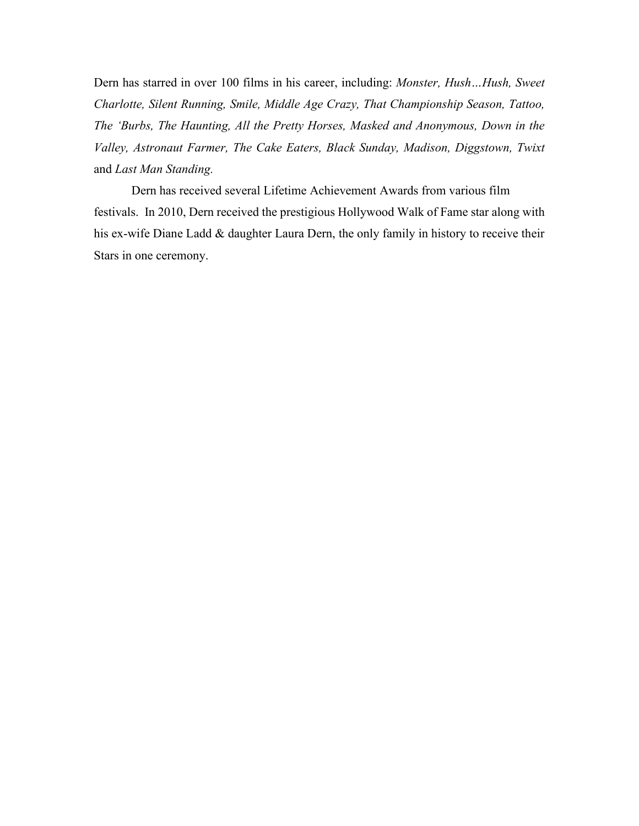Dern has starred in over 100 films in his career, including: *Monster, Hush…Hush, Sweet Charlotte, Silent Running, Smile, Middle Age Crazy, That Championship Season, Tattoo, The 'Burbs, The Haunting, All the Pretty Horses, Masked and Anonymous, Down in the Valley, Astronaut Farmer, The Cake Eaters, Black Sunday, Madison, Diggstown, Twixt*  and *Last Man Standing.*

Dern has received several Lifetime Achievement Awards from various film festivals. In 2010, Dern received the prestigious Hollywood Walk of Fame star along with his ex-wife Diane Ladd & daughter Laura Dern, the only family in history to receive their Stars in one ceremony.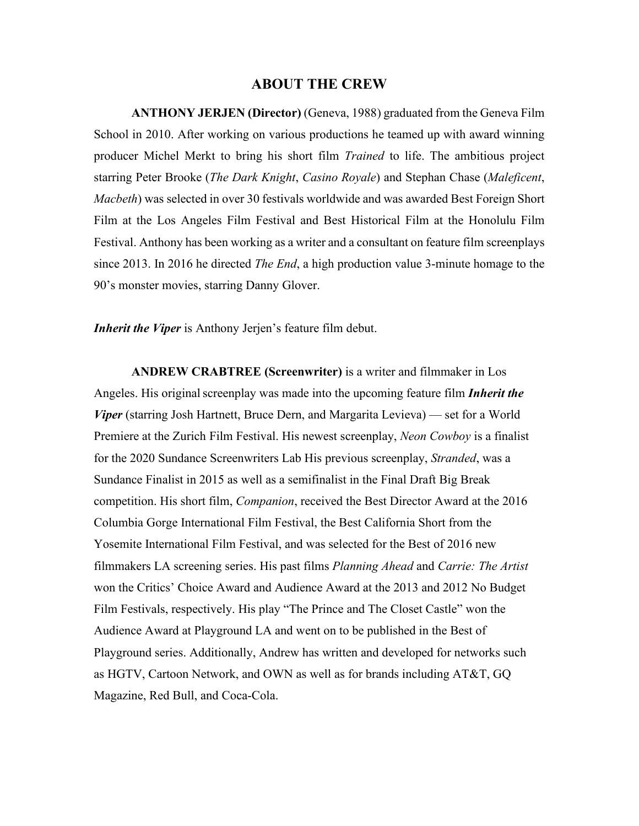#### **ABOUT THE CREW**

**ANTHONY JERJEN (Director)** (Geneva, 1988) graduated from the Geneva Film School in 2010. After working on various productions he teamed up with award winning producer Michel Merkt to bring his short film *Trained* to life. The ambitious project starring Peter Brooke (*The Dark Knight*, *Casino Royale*) and Stephan Chase (*Maleficent*, *Macbeth*) was selected in over 30 festivals worldwide and was awarded Best Foreign Short Film at the Los Angeles Film Festival and Best Historical Film at the Honolulu Film Festival. Anthony has been working as a writer and a consultant on feature film screenplays since 2013. In 2016 he directed *The End*, a high production value 3-minute homage to the 90's monster movies, starring Danny Glover.

*Inherit the Viper* is Anthony Jerjen's feature film debut.

**ANDREW CRABTREE (Screenwriter)** is a writer and filmmaker in Los Angeles. His original screenplay was made into the upcoming feature film *Inherit the Viper* (starring Josh Hartnett, Bruce Dern, and Margarita Levieva) — set for a World Premiere at the Zurich Film Festival. His newest screenplay, *Neon Cowboy* is a finalist for the 2020 Sundance Screenwriters Lab His previous screenplay, *Stranded*, was a Sundance Finalist in 2015 as well as a semifinalist in the Final Draft Big Break competition. His short film, *Companion*, received the Best Director Award at the 2016 Columbia Gorge International Film Festival, the Best California Short from the Yosemite International Film Festival, and was selected for the Best of 2016 new filmmakers LA screening series. His past films *Planning Ahead* and *Carrie: The Artist*  won the Critics' Choice Award and Audience Award at the 2013 and 2012 No Budget Film Festivals, respectively. His play "The Prince and The Closet Castle" won the Audience Award at Playground LA and went on to be published in the Best of Playground series. Additionally, Andrew has written and developed for networks such as HGTV, Cartoon Network, and OWN as well as for brands including AT&T, GQ Magazine, Red Bull, and Coca-Cola.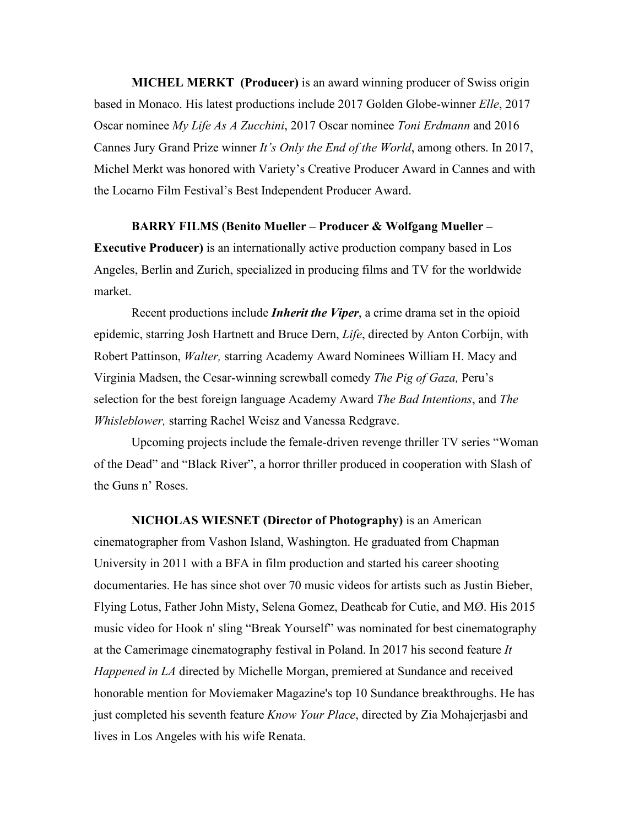**MICHEL MERKT (Producer)** is an award winning producer of Swiss origin based in Monaco. His latest productions include 2017 Golden Globe-winner *Elle*, 2017 Oscar nominee *My Life As A Zucchini*, 2017 Oscar nominee *Toni Erdmann* and 2016 Cannes Jury Grand Prize winner *It's Only the End of the World*, among others. In 2017, Michel Merkt was honored with Variety's Creative Producer Award in Cannes and with the Locarno Film Festival's Best Independent Producer Award.

#### **BARRY FILMS (Benito Mueller – Producer & Wolfgang Mueller –**

**Executive Producer)** is an internationally active production company based in Los Angeles, Berlin and Zurich, specialized in producing films and TV for the worldwide market.

Recent productions include *Inherit the Viper*, a crime drama set in the opioid epidemic, starring Josh Hartnett and Bruce Dern, *Life*, directed by Anton Corbijn, with Robert Pattinson, *Walter,* starring Academy Award Nominees William H. Macy and Virginia Madsen, the Cesar-winning screwball comedy *The Pig of Gaza,* Peru's selection for the best foreign language Academy Award *The Bad Intentions*, and *The Whisleblower,* starring Rachel Weisz and Vanessa Redgrave.

Upcoming projects include the female-driven revenge thriller TV series "Woman of the Dead" and "Black River", a horror thriller produced in cooperation with Slash of the Guns n' Roses.

**NICHOLAS WIESNET (Director of Photography)** is an American cinematographer from Vashon Island, Washington. He graduated from Chapman University in 2011 with a BFA in film production and started his career shooting documentaries. He has since shot over 70 music videos for artists such as Justin Bieber, Flying Lotus, Father John Misty, Selena Gomez, Deathcab for Cutie, and MØ. His 2015 music video for Hook n' sling "Break Yourself" was nominated for best cinematography at the Camerimage cinematography festival in Poland. In 2017 his second feature *It Happened in LA* directed by Michelle Morgan, premiered at Sundance and received honorable mention for Moviemaker Magazine's top 10 Sundance breakthroughs. He has just completed his seventh feature *Know Your Place*, directed by Zia Mohajerjasbi and lives in Los Angeles with his wife Renata.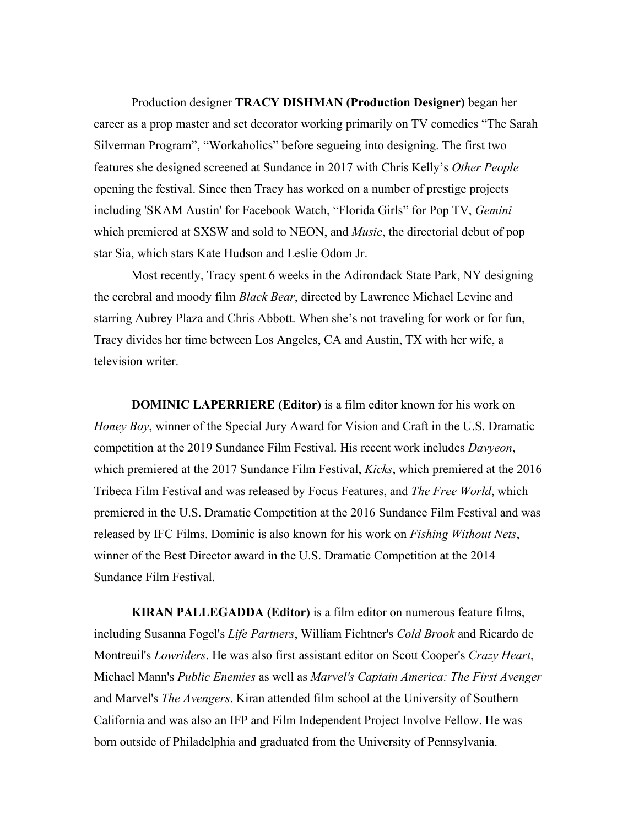Production designer **TRACY DISHMAN (Production Designer)** began her career as a prop master and set decorator working primarily on TV comedies "The Sarah Silverman Program", "Workaholics" before segueing into designing. The first two features she designed screened at Sundance in 2017 with Chris Kelly's *Other People*  opening the festival. Since then Tracy has worked on a number of prestige projects including 'SKAM Austin' for Facebook Watch, "Florida Girls" for Pop TV, *Gemini* which premiered at SXSW and sold to NEON, and *Music*, the directorial debut of pop star Sia, which stars Kate Hudson and Leslie Odom Jr.

Most recently, Tracy spent 6 weeks in the Adirondack State Park, NY designing the cerebral and moody film *Black Bear*, directed by Lawrence Michael Levine and starring Aubrey Plaza and Chris Abbott. When she's not traveling for work or for fun, Tracy divides her time between Los Angeles, CA and Austin, TX with her wife, a television writer.

**DOMINIC LAPERRIERE (Editor)** is a film editor known for his work on *Honey Boy*, winner of the Special Jury Award for Vision and Craft in the U.S. Dramatic competition at the 2019 Sundance Film Festival. His recent work includes *Davyeon*, which premiered at the 2017 Sundance Film Festival, *Kicks*, which premiered at the 2016 Tribeca Film Festival and was released by Focus Features, and *The Free World*, which premiered in the U.S. Dramatic Competition at the 2016 Sundance Film Festival and was released by IFC Films. Dominic is also known for his work on *Fishing Without Nets*, winner of the Best Director award in the U.S. Dramatic Competition at the 2014 Sundance Film Festival.

**KIRAN PALLEGADDA (Editor)** is a film editor on numerous feature films, including Susanna Fogel's *Life Partners*, William Fichtner's *Cold Brook* and Ricardo de Montreuil's *Lowriders*. He was also first assistant editor on Scott Cooper's *Crazy Heart*, Michael Mann's *Public Enemies* as well as *Marvel's Captain America: The First Avenger*  and Marvel's *The Avengers*. Kiran attended film school at the University of Southern California and was also an IFP and Film Independent Project Involve Fellow. He was born outside of Philadelphia and graduated from the University of Pennsylvania.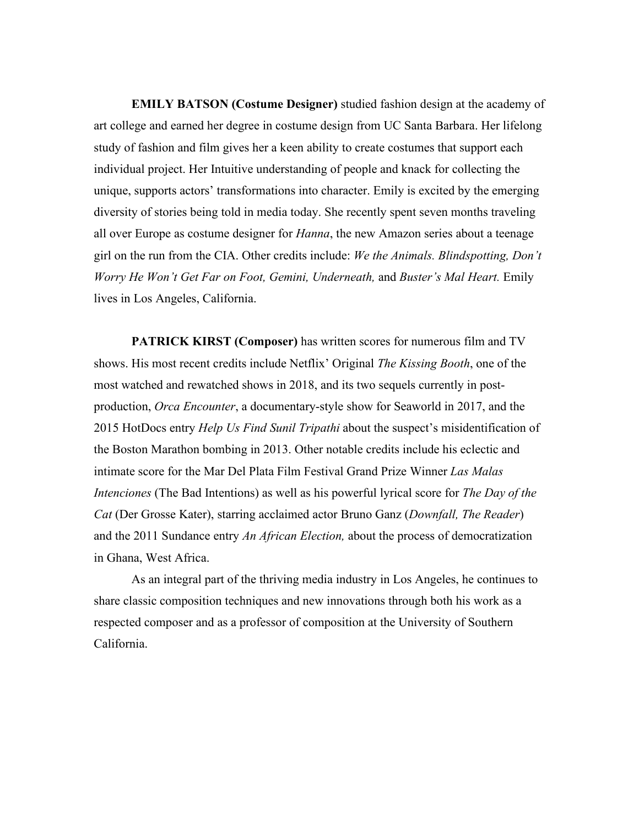**EMILY BATSON (Costume Designer)** studied fashion design at the academy of art college and earned her degree in costume design from UC Santa Barbara. Her lifelong study of fashion and film gives her a keen ability to create costumes that support each individual project. Her Intuitive understanding of people and knack for collecting the unique, supports actors' transformations into character. Emily is excited by the emerging diversity of stories being told in media today. She recently spent seven months traveling all over Europe as costume designer for *Hanna*, the new Amazon series about a teenage girl on the run from the CIA. Other credits include: *We the Animals. Blindspotting, Don't Worry He Won't Get Far on Foot, Gemini, Underneath,* and *Buster's Mal Heart.* Emily lives in Los Angeles, California.

**PATRICK KIRST (Composer)** has written scores for numerous film and TV shows. His most recent credits include Netflix' Original *The Kissing Booth*, one of the most watched and rewatched shows in 2018, and its two sequels currently in postproduction, *Orca Encounter*, a documentary-style show for Seaworld in 2017, and the 2015 HotDocs entry *Help Us Find Sunil Tripathi* about the suspect's misidentification of the Boston Marathon bombing in 2013. Other notable credits include his eclectic and intimate score for the Mar Del Plata Film Festival Grand Prize Winner *Las Malas Intenciones* (The Bad Intentions) as well as his powerful lyrical score for *The Day of the Cat* (Der Grosse Kater), starring acclaimed actor Bruno Ganz (*Downfall, The Reader*) and the 2011 Sundance entry *An African Election,* about the process of democratization in Ghana, West Africa.

As an integral part of the thriving media industry in Los Angeles, he continues to share classic composition techniques and new innovations through both his work as a respected composer and as a professor of composition at the University of Southern California.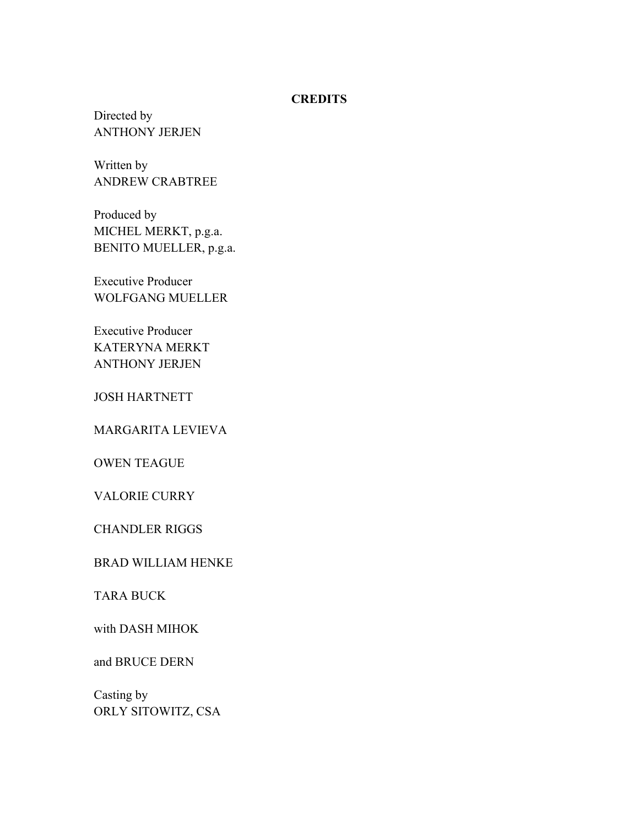#### **CREDITS**

Directed by ANTHONY JERJEN

Written by ANDREW CRABTREE

Produced by MICHEL MERKT, p.g.a. BENITO MUELLER, p.g.a.

Executive Producer WOLFGANG MUELLER

Executive Producer KATERYNA MERKT ANTHONY JERJEN

JOSH HARTNETT

MARGARITA LEVIEVA

OWEN TEAGUE

VALORIE CURRY

CHANDLER RIGGS

BRAD WILLIAM HENKE

TARA BUCK

with DASH MIHOK

and BRUCE DERN

Casting by ORLY SITOWITZ, CSA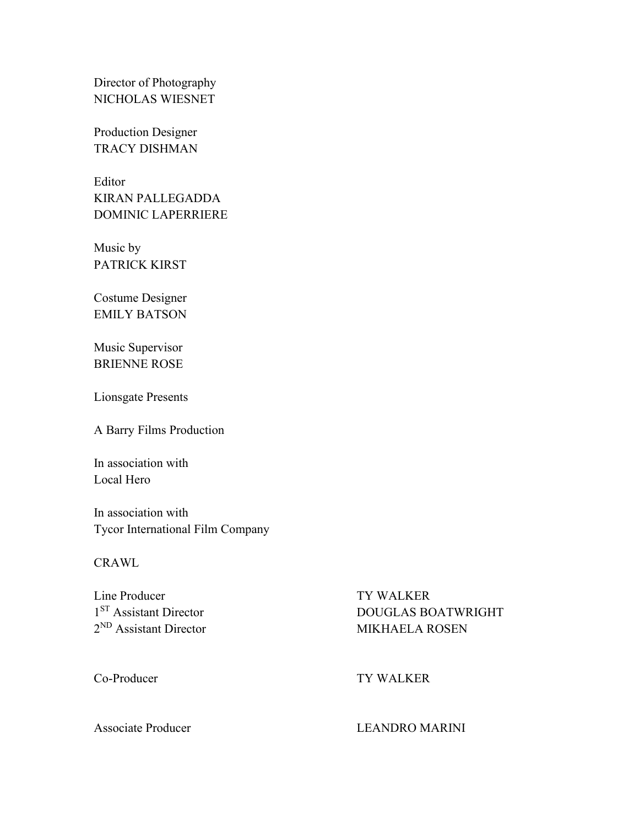Director of Photography NICHOLAS WIESNET

Production Designer TRACY DISHMAN

Editor KIRAN PALLEGADDA DOMINIC LAPERRIERE

Music by PATRICK KIRST

Costume Designer EMILY BATSON

Music Supervisor BRIENNE ROSE

Lionsgate Presents

A Barry Films Production

In association with Local Hero

In association with Tycor International Film Company

**CRAWL** 

Line Producer TY WALKER

<sup>1ST</sup> Assistant Director <br>
2<sup>ND</sup> Assistant Director <br>
2<sup>ND</sup> Assistant Director <br>
2<sup>ND</sup> Assistant Director **MIKHAELA ROSEN** 

Co-Producer TY WALKER

#### Associate Producer LEANDRO MARINI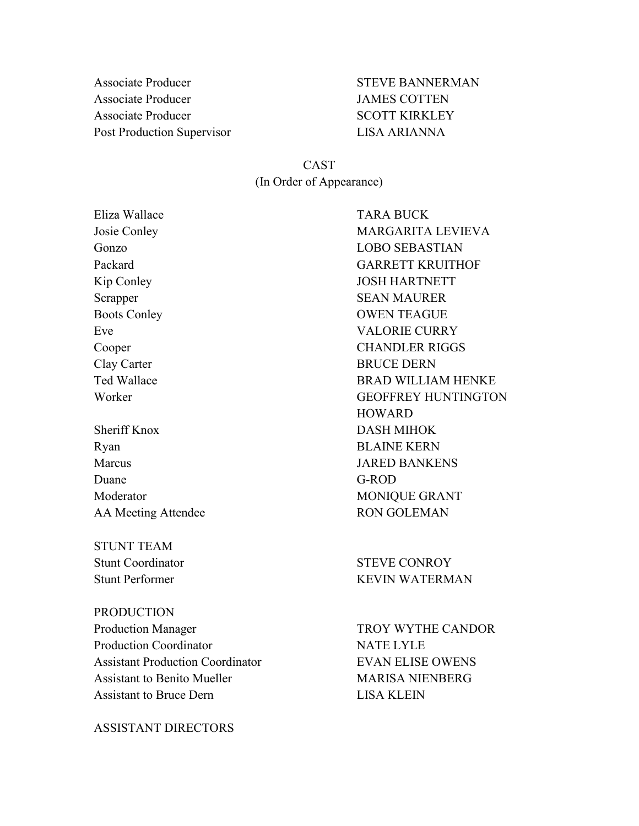Associate Producer **STEVE BANNERMAN** Associate Producer JAMES COTTEN Associate Producer SCOTT KIRKLEY Post Production Supervisor LISA ARIANNA

CAST (In Order of Appearance)

Eliza Wallace TARA BUCK

Ryan BLAINE KERN Marcus JARED BANKENS Duane G-ROD Moderator MONIQUE GRANT AA Meeting Attendee RON GOLEMAN

STUNT TEAM Stunt Coordinator STEVE CONROY

PRODUCTION Production Manager TROY WYTHE CANDOR Production Coordinator NATE LYLE Assistant Production Coordinator EVAN ELISE OWENS Assistant to Benito Mueller MARISA NIENBERG Assistant to Bruce Dern LISA KLEIN

ASSISTANT DIRECTORS

Josie Conley MARGARITA LEVIEVA Gonzo LOBO SEBASTIAN Packard GARRETT KRUITHOF Kip Conley JOSH HARTNETT Scrapper SEAN MAURER Boots Conley **OWEN TEAGUE** Eve VALORIE CURRY Cooper CHANDLER RIGGS Clay Carter BRUCE DERN Ted Wallace BRAD WILLIAM HENKE Worker GEOFFREY HUNTINGTON HOWARD Sheriff Knox DASH MIHOK

Stunt Performer KEVIN WATERMAN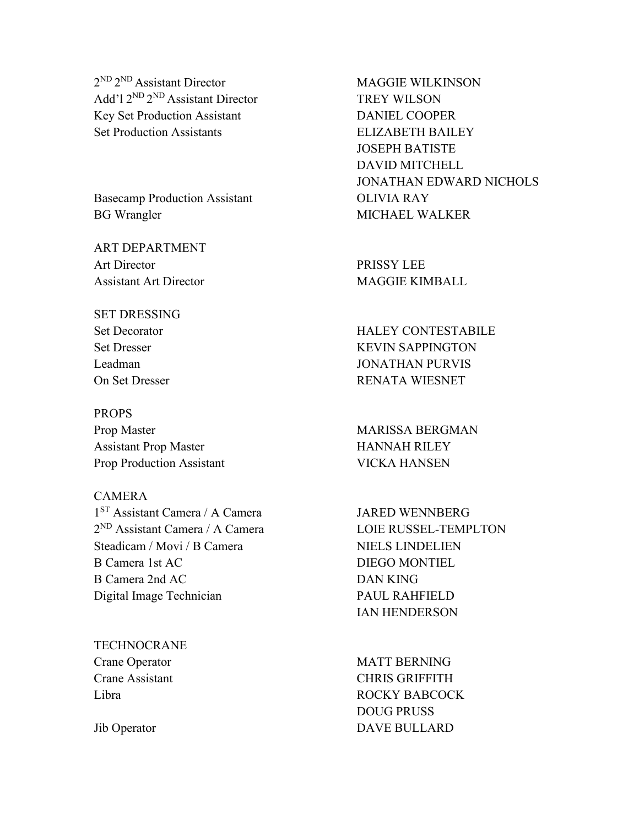$2^{ND} 2^{ND}$  Assistant Director MAGGIE WILKINSON Add'l 2<sup>ND</sup> 2<sup>ND</sup> Assistant Director TREY WILSON Key Set Production Assistant DANIEL COOPER Set Production Assistants ELIZABETH BAILEY

Basecamp Production Assistant **OLIVIA RAY** BG Wrangler MICHAEL WALKER

ART DEPARTMENT Art Director PRISSY LEE Assistant Art Director MAGGIE KIMBALL

# SET DRESSING

PROPS Prop Master MARISSA BERGMAN Assistant Prop Master **HANNAH RILEY** Prop Production Assistant VICKA HANSEN

### CAMERA 1<sup>ST</sup> Assistant Camera / A Camera JARED WENNBERG  $2^{ND}$  Assistant Camera / A Camera LOIE RUSSEL-TEMPLTON Steadicam / Movi / B Camera NIELS LINDELIEN B Camera 1st AC DIEGO MONTIEL B Camera 2nd AC DAN KING Digital Image Technician PAUL RAHFIELD

**TECHNOCRANE** 

JOSEPH BATISTE DAVID MITCHELL JONATHAN EDWARD NICHOLS

Set Decorator HALEY CONTESTABILE Set Dresser KEVIN SAPPINGTON Leadman JONATHAN PURVIS On Set Dresser RENATA WIESNET

IAN HENDERSON

Crane Operator MATT BERNING Crane Assistant CHRIS GRIFFITH Libra ROCKY BABCOCK DOUG PRUSS Jib Operator DAVE BULLARD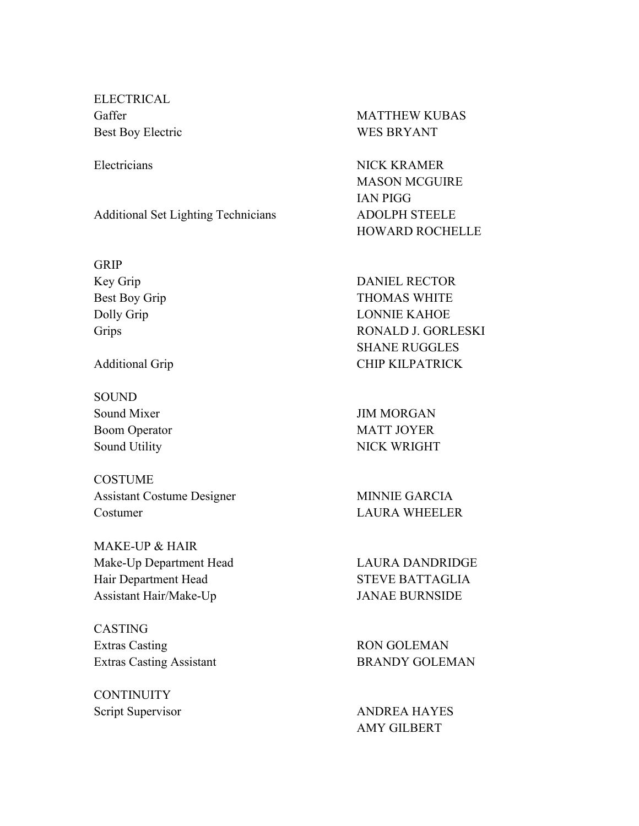ELECTRICAL Best Boy Electric WES BRYANT

Additional Set Lighting Technicians ADOLPH STEELE

GRIP

**SOUND** Sound Mixer JIM MORGAN

COSTUME Assistant Costume Designer MINNIE GARCIA Costumer LAURA WHEELER

MAKE-UP & HAIR Make-Up Department Head LAURA DANDRIDGE Hair Department Head STEVE BATTAGLIA Assistant Hair/Make-Up JANAE BURNSIDE

CASTING Extras Casting RON GOLEMAN Extras Casting Assistant BRANDY GOLEMAN

**CONTINUITY** 

Gaffer MATTHEW KUBAS

Electricians NICK KRAMER MASON MCGUIRE IAN PIGG HOWARD ROCHELLE

Key Grip DANIEL RECTOR Best Boy Grip THOMAS WHITE Dolly Grip LONNIE KAHOE Grips RONALD J. GORLESKI SHANE RUGGLES Additional Grip **CHIP KILPATRICK** 

Boom Operator MATT JOYER Sound Utility NICK WRIGHT

Script Supervisor ANDREA HAYES AMY GILBERT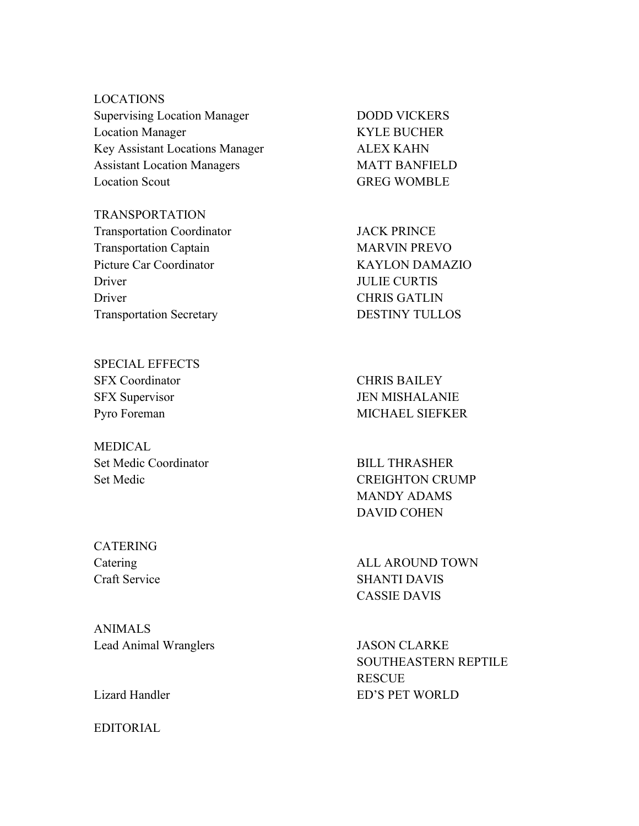LOCATIONS Supervising Location Manager DODD VICKERS Location Manager KYLE BUCHER Key Assistant Locations Manager ALEX KAHN Assistant Location Managers MATT BANFIELD Location Scout GREG WOMBLE

TRANSPORTATION Transportation Coordinator **JACK PRINCE** Transportation Captain MARVIN PREVO Picture Car Coordinator KAYLON DAMAZIO Driver JULIE CURTIS Driver CHRIS GATLIN Transportation Secretary DESTINY TULLOS

SPECIAL EFFECTS SFX Coordinator CHRIS BAILEY

MEDICAL. Set Medic Coordinator BILL THRASHER

CATERING

ANIMALS Lead Animal Wranglers **JASON CLARKE** 

EDITORIAL

SFX Supervisor JEN MISHALANIE Pyro Foreman MICHAEL SIEFKER

Set Medic CREIGHTON CRUMP MANDY ADAMS DAVID COHEN

Catering ALL AROUND TOWN Craft Service SHANTI DAVIS CASSIE DAVIS

SOUTHEASTERN REPTILE **RESCUE** Lizard Handler ED'S PET WORLD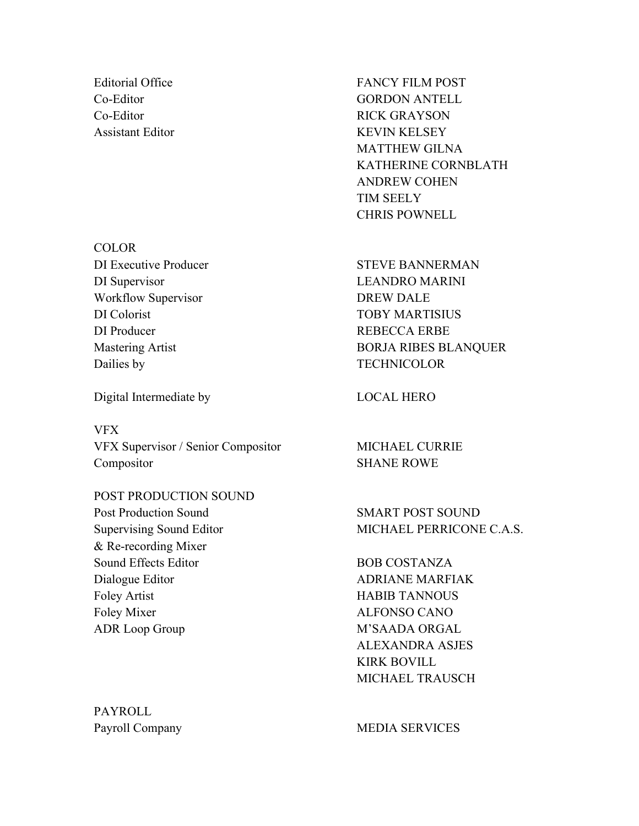Editorial Office FANCY FILM POST Co-Editor GORDON ANTELL Co-Editor RICK GRAYSON Assistant Editor KEVIN KELSEY MATTHEW GILNA KATHERINE CORNBLATH ANDREW COHEN TIM SEELY CHRIS POWNELL

DI Executive Producer STEVE BANNERMAN Mastering Artist **BORJA RIBES BLANQUER** 

Supervising Sound Editor MICHAEL PERRICONE C.A.S.

Foley Mixer ALFONSO CANO ADR Loop Group M'SAADA ORGAL ALEXANDRA ASJES KIRK BOVILL MICHAEL TRAUSCH

Payroll Company MEDIA SERVICES

**COLOR** DI Supervisor LEANDRO MARINI Workflow Supervisor DREW DALE DI Colorist TOBY MARTISIUS DI Producer REBECCA ERBE Dailies by TECHNICOLOR

Digital Intermediate by LOCAL HERO

VFX VFX Supervisor / Senior Compositor MICHAEL CURRIE Compositor SHANE ROWE

POST PRODUCTION SOUND Post Production Sound SMART POST SOUND & Re-recording Mixer Sound Effects Editor BOB COSTANZA Dialogue Editor ADRIANE MARFIAK Foley Artist HABIB TANNOUS

PAYROLL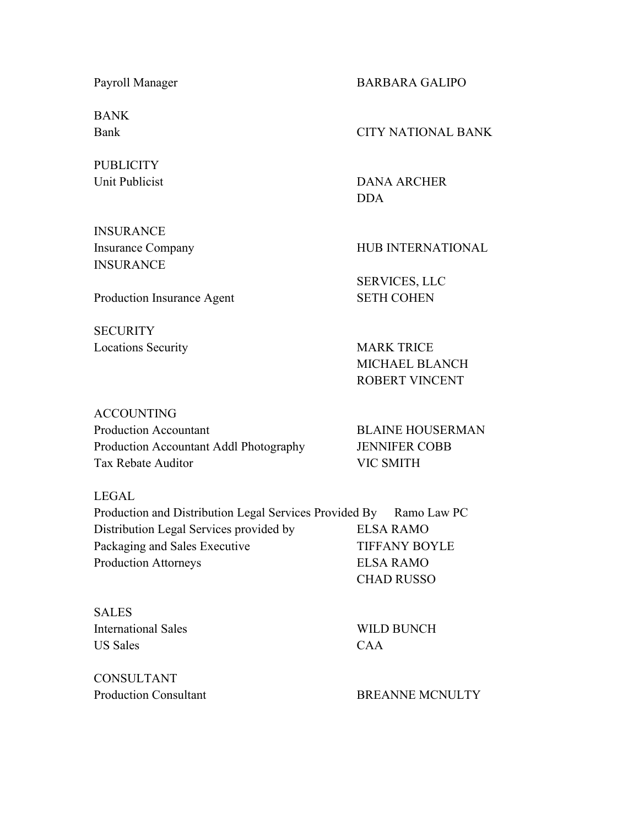BANK

**PUBLICITY** 

**INSURANCE INSURANCE** 

**SECURITY** 

Payroll Manager BARBARA GALIPO

Bank CITY NATIONAL BANK

Unit Publicist DANA ARCHER DDA

Insurance Company HUB INTERNATIONAL

SERVICES, LLC Production Insurance Agent SETH COHEN

Locations Security MARK TRICE MICHAEL BLANCH ROBERT VINCENT

ACCOUNTING Production Accountant BLAINE HOUSERMAN Production Accountant Addl Photography JENNIFER COBB Tax Rebate Auditor VIC SMITH

LEGAL

| Production and Distribution Legal Services Provided By Ramo Law PC |                      |
|--------------------------------------------------------------------|----------------------|
| Distribution Legal Services provided by                            | <b>ELSA RAMO</b>     |
| Packaging and Sales Executive                                      | <b>TIFFANY BOYLE</b> |
| <b>Production Attorneys</b>                                        | <b>ELSA RAMO</b>     |
|                                                                    | <b>CHAD RUSSO</b>    |

SALES International Sales WILD BUNCH US Sales CAA

CONSULTANT

Production Consultant BREANNE MCNULTY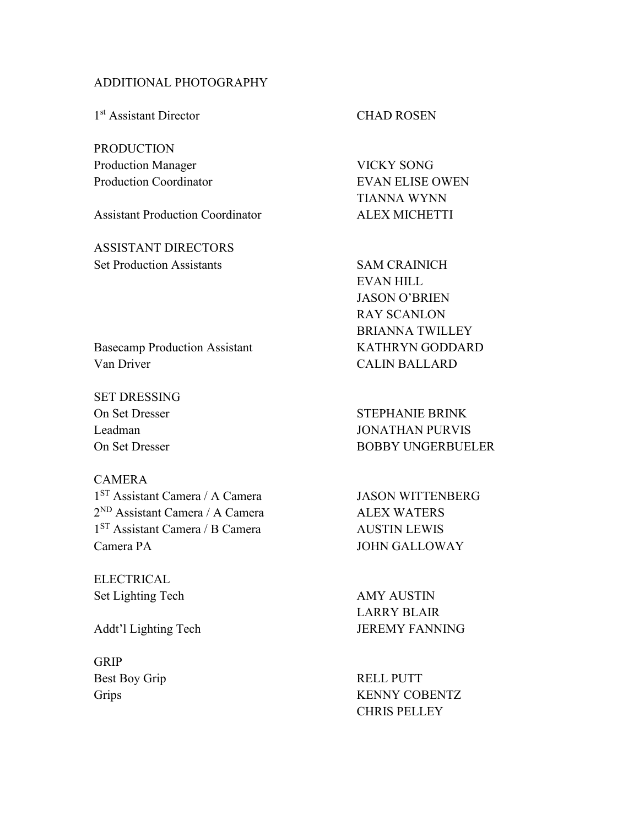#### ADDITIONAL PHOTOGRAPHY

1<sup>st</sup> Assistant Director CHAD ROSEN

PRODUCTION Production Manager VICKY SONG Production Coordinator **EVAN ELISE OWEN** 

Assistant Production Coordinator ALEX MICHETTI

ASSISTANT DIRECTORS Set Production Assistants SAM CRAINICH

TIANNA WYNN

EVAN HILL JASON O'BRIEN RAY SCANLON BRIANNA TWILLEY

Basecamp Production Assistant KATHRYN GODDARD Van Driver CALIN BALLARD

SET DRESSING On Set Dresser STEPHANIE BRINK

#### CAMERA

1<sup>ST</sup> Assistant Camera / A Camera JASON WITTENBERG 2<sup>ND</sup> Assistant Camera / A Camera ALEX WATERS 1<sup>ST</sup> Assistant Camera / B Camera AUSTIN LEWIS Camera PA JOHN GALLOWAY

ELECTRICAL Set Lighting Tech AMY AUSTIN

GRIP Best Boy Grip RELL PUTT

Leadman JONATHAN PURVIS On Set Dresser BOBBY UNGERBUELER

LARRY BLAIR Addt'l Lighting Tech JEREMY FANNING

Grips KENNY COBENTZ CHRIS PELLEY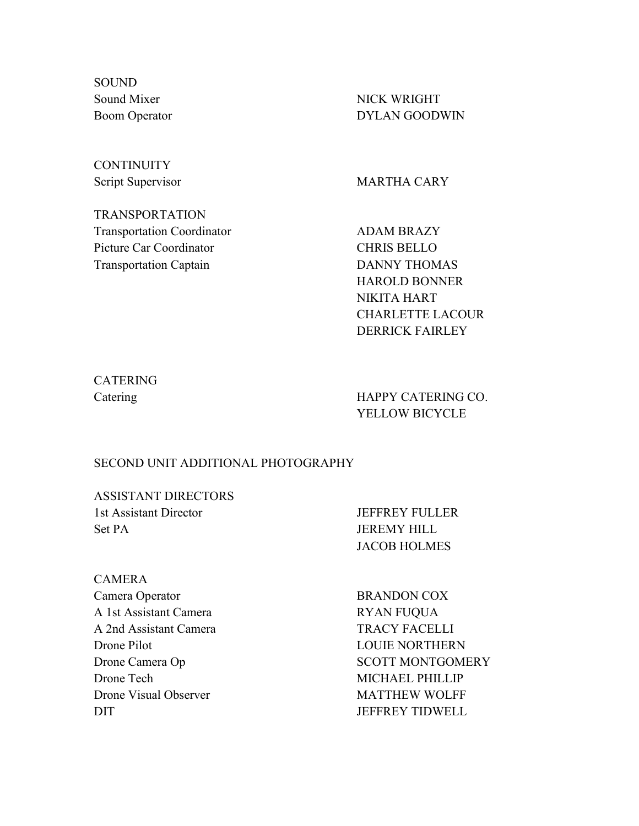**SOUND** Sound Mixer NICK WRIGHT

Boom Operator DYLAN GOODWIN

## **CONTINUITY**

Script Supervisor MARTHA CARY

TRANSPORTATION Transportation Coordinator **ADAM BRAZY** Picture Car Coordinator CHRIS BELLO Transportation Captain **DANNY THOMAS** 

HAROLD BONNER NIKITA HART CHARLETTE LACOUR DERRICK FAIRLEY

# CATERING

Catering HAPPY CATERING CO. YELLOW BICYCLE

#### SECOND UNIT ADDITIONAL PHOTOGRAPHY

ASSISTANT DIRECTORS 1st Assistant Director JEFFREY FULLER Set PA JEREMY HILL

JACOB HOLMES

CAMERA Camera Operator BRANDON COX A 1st Assistant Camera RYAN FUQUA A 2nd Assistant Camera TRACY FACELLI Drone Pilot LOUIE NORTHERN Drone Tech MICHAEL PHILLIP Drone Visual Observer MATTHEW WOLFF DIT JEFFREY TIDWELL

Drone Camera Op SCOTT MONTGOMERY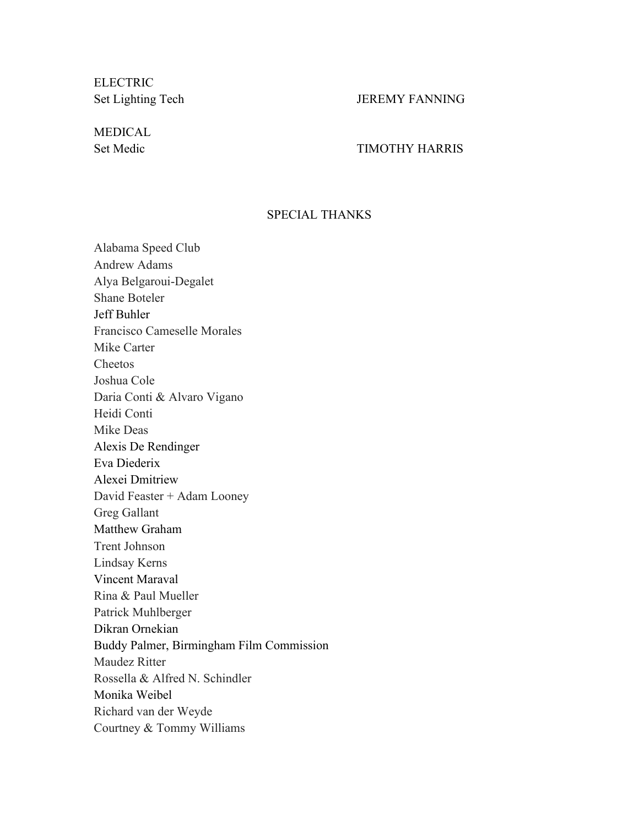**ELECTRIC** Set Lighting Tech JEREMY FANNING

MEDICAL

#### Set Medic TIMOTHY HARRIS

#### SPECIAL THANKS

Alabama Speed Club Andrew Adams Alya Belgaroui-Degalet Shane Boteler Jeff Buhler Francisco Cameselle Morales Mike Carter Cheetos Joshua Cole Daria Conti & Alvaro Vigano Heidi Conti Mike Deas Alexis De Rendinger Eva Diederix Alexei Dmitriew David Feaster + Adam Looney Greg Gallant Matthew Graham Trent Johnson Lindsay Kerns Vincent Maraval Rina & Paul Mueller Patrick Muhlberger Dikran Ornekian Buddy Palmer, Birmingham Film Commission Maudez Ritter Rossella & Alfred N. Schindler Monika Weibel Richard van der Weyde Courtney & Tommy Williams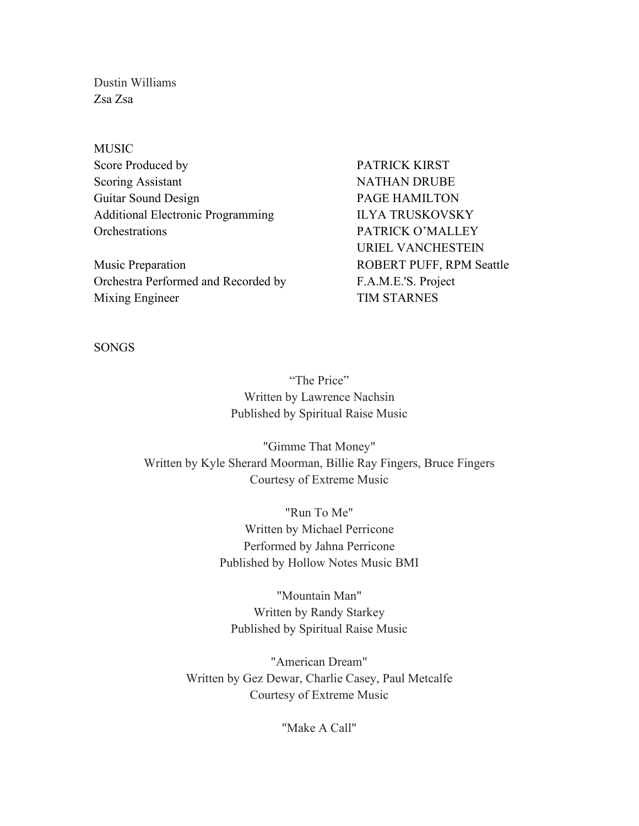Dustin Williams Zsa Zsa

MUSIC Score Produced by **PATRICK KIRST** Scoring Assistant NATHAN DRUBE Guitar Sound Design PAGE HAMILTON Additional Electronic Programming ILYA TRUSKOVSKY Orchestrations PATRICK O'MALLEY

Music Preparation **ROBERT PUFF, RPM Seattle** Orchestra Performed and Recorded by F.A.M.E.'S. Project Mixing Engineer TIM STARNES

URIEL VANCHESTEIN

SONGS

"The Price" Written by Lawrence Nachsin Published by Spiritual Raise Music

"Gimme That Money" Written by Kyle Sherard Moorman, Billie Ray Fingers, Bruce Fingers Courtesy of Extreme Music

> "Run To Me" Written by Michael Perricone Performed by Jahna Perricone Published by Hollow Notes Music BMI

"Mountain Man" Written by Randy Starkey Published by Spiritual Raise Music

"American Dream" Written by Gez Dewar, Charlie Casey, Paul Metcalfe Courtesy of Extreme Music

"Make A Call"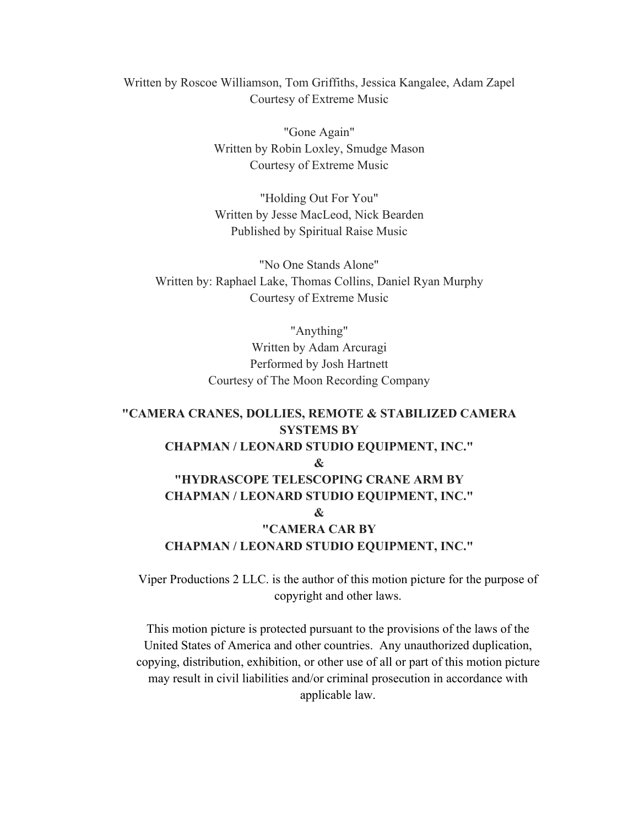Written by Roscoe Williamson, Tom Griffiths, Jessica Kangalee, Adam Zapel Courtesy of Extreme Music

> "Gone Again" Written by Robin Loxley, Smudge Mason Courtesy of Extreme Music

> "Holding Out For You" Written by Jesse MacLeod, Nick Bearden Published by Spiritual Raise Music

"No One Stands Alone" Written by: Raphael Lake, Thomas Collins, Daniel Ryan Murphy Courtesy of Extreme Music

> "Anything" Written by Adam Arcuragi Performed by Josh Hartnett Courtesy of The Moon Recording Company

### **"CAMERA CRANES, DOLLIES, REMOTE & STABILIZED CAMERA SYSTEMS BY CHAPMAN / LEONARD STUDIO EQUIPMENT, INC." & "HYDRASCOPE TELESCOPING CRANE ARM BY CHAPMAN / LEONARD STUDIO EQUIPMENT, INC." & "CAMERA CAR BY CHAPMAN / LEONARD STUDIO EQUIPMENT, INC."**

Viper Productions 2 LLC. is the author of this motion picture for the purpose of copyright and other laws.

This motion picture is protected pursuant to the provisions of the laws of the United States of America and other countries. Any unauthorized duplication, copying, distribution, exhibition, or other use of all or part of this motion picture may result in civil liabilities and/or criminal prosecution in accordance with applicable law.